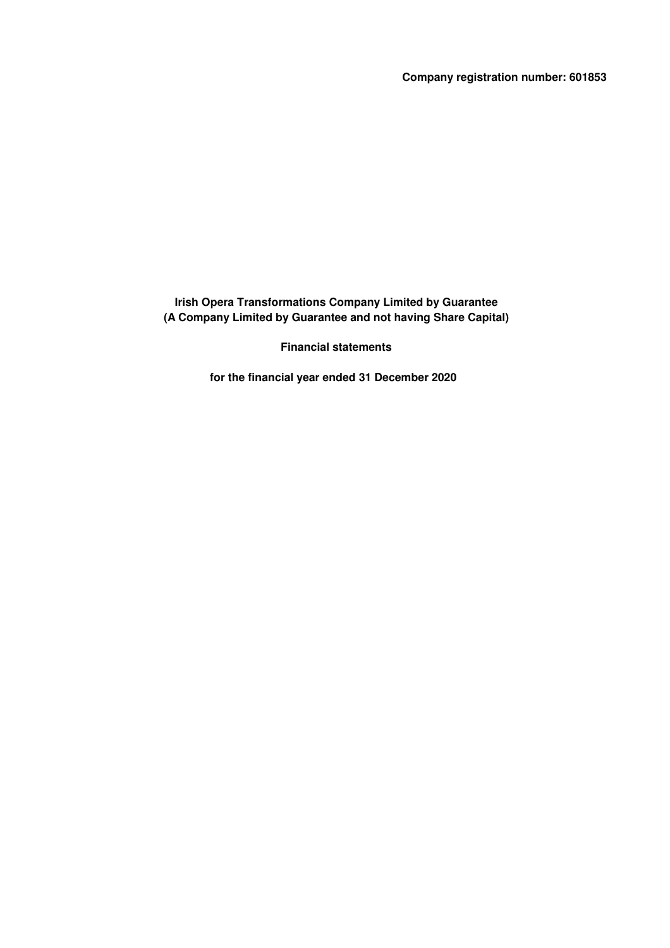**Company registration number: 601853**

**Irish Opera Transformations Company Limited by Guarantee (A Company Limited by Guarantee and not having Share Capital)**

**Financial statements**

**for the financial year ended 31 December 2020**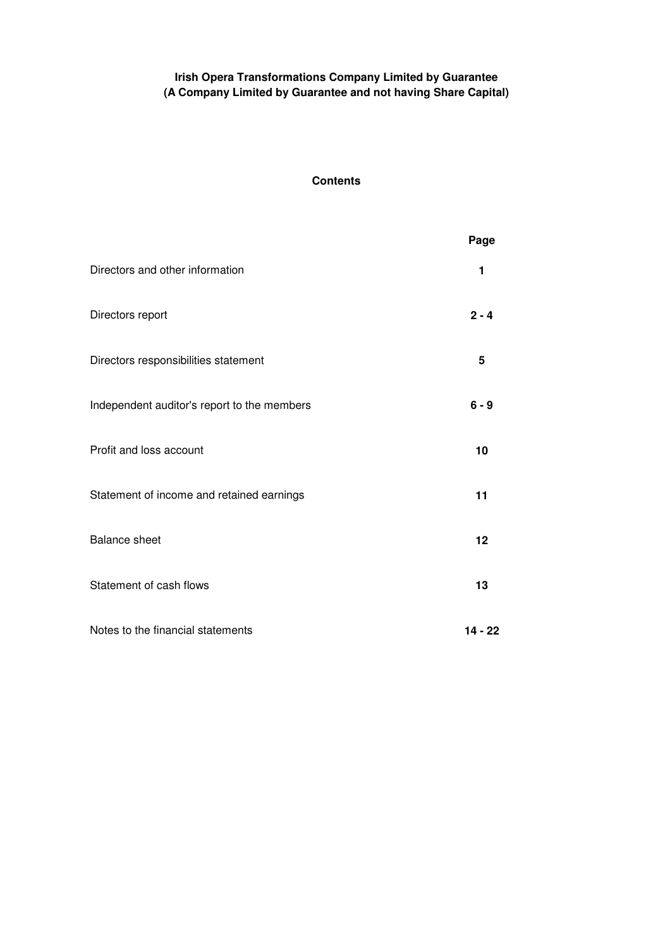# **Contents**

|                                             | Page      |
|---------------------------------------------|-----------|
| Directors and other information             | 1         |
| Directors report                            | $2 - 4$   |
| Directors responsibilities statement        | 5         |
| Independent auditor's report to the members | $6 - 9$   |
| Profit and loss account                     | 10        |
| Statement of income and retained earnings   | 11        |
| <b>Balance sheet</b>                        | 12        |
| Statement of cash flows                     | 13        |
| Notes to the financial statements           | $14 - 22$ |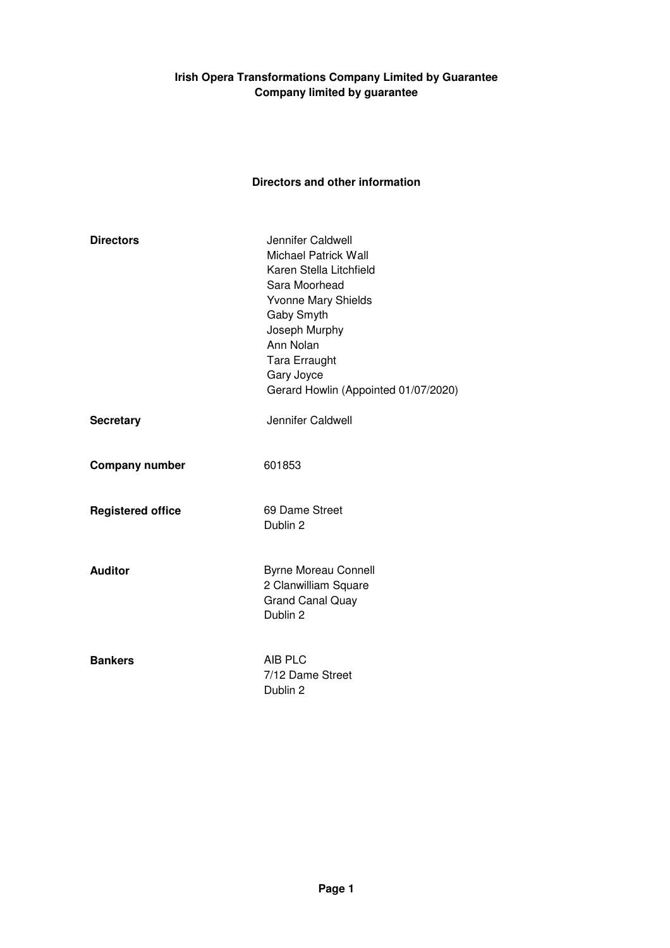# **Irish Opera Transformations Company Limited by Guarantee Company limited by guarantee**

# **Directors and other information**

| <b>Directors</b>         | Jennifer Caldwell<br><b>Michael Patrick Wall</b><br>Karen Stella Litchfield<br>Sara Moorhead<br><b>Yvonne Mary Shields</b><br>Gaby Smyth<br>Joseph Murphy<br>Ann Nolan<br><b>Tara Erraught</b><br>Gary Joyce<br>Gerard Howlin (Appointed 01/07/2020) |
|--------------------------|------------------------------------------------------------------------------------------------------------------------------------------------------------------------------------------------------------------------------------------------------|
| <b>Secretary</b>         | Jennifer Caldwell                                                                                                                                                                                                                                    |
| <b>Company number</b>    | 601853                                                                                                                                                                                                                                               |
| <b>Registered office</b> | 69 Dame Street<br>Dublin 2                                                                                                                                                                                                                           |
| <b>Auditor</b>           | <b>Byrne Moreau Connell</b><br>2 Clanwilliam Square<br><b>Grand Canal Quay</b><br>Dublin 2                                                                                                                                                           |
| <b>Bankers</b>           | AIB PLC<br>7/12 Dame Street<br>Dublin 2                                                                                                                                                                                                              |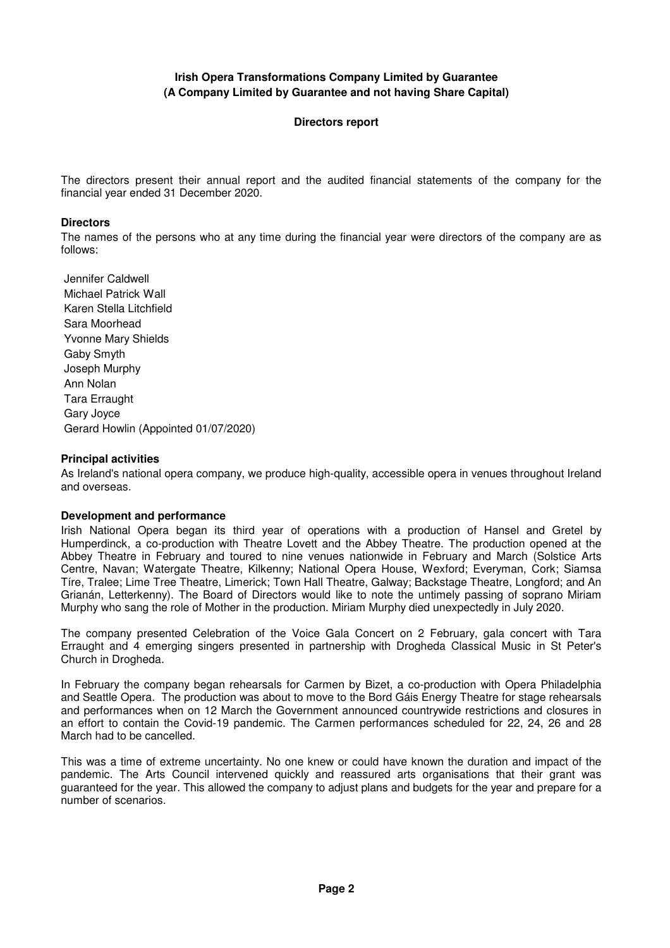#### **Directors report**

The directors present their annual report and the audited financial statements of the company for the financial year ended 31 December 2020.

#### **Directors**

The names of the persons who at any time during the financial year were directors of the company are as follows:

 Jennifer Caldwell Michael Patrick Wall Karen Stella Litchfield Sara Moorhead Yvonne Mary Shields Gaby Smyth Joseph Murphy Ann Nolan Tara Erraught Gary Joyce Gerard Howlin (Appointed 01/07/2020)

#### **Principal activities**

As Ireland's national opera company, we produce high-quality, accessible opera in venues throughout Ireland and overseas.

#### **Development and performance**

Irish National Opera began its third year of operations with a production of Hansel and Gretel by Humperdinck, a co-production with Theatre Lovett and the Abbey Theatre. The production opened at the Abbey Theatre in February and toured to nine venues nationwide in February and March (Solstice Arts Centre, Navan; Watergate Theatre, Kilkenny; National Opera House, Wexford; Everyman, Cork; Siamsa Tíre, Tralee; Lime Tree Theatre, Limerick; Town Hall Theatre, Galway; Backstage Theatre, Longford; and An Grianán, Letterkenny). The Board of Directors would like to note the untimely passing of soprano Miriam Murphy who sang the role of Mother in the production. Miriam Murphy died unexpectedly in July 2020.

The company presented Celebration of the Voice Gala Concert on 2 February, gala concert with Tara Erraught and 4 emerging singers presented in partnership with Drogheda Classical Music in St Peter's Church in Drogheda.

In February the company began rehearsals for Carmen by Bizet, a co-production with Opera Philadelphia and Seattle Opera. The production was about to move to the Bord Gáis Energy Theatre for stage rehearsals and performances when on 12 March the Government announced countrywide restrictions and closures in an effort to contain the Covid-19 pandemic. The Carmen performances scheduled for 22, 24, 26 and 28 March had to be cancelled.

This was a time of extreme uncertainty. No one knew or could have known the duration and impact of the pandemic. The Arts Council intervened quickly and reassured arts organisations that their grant was guaranteed for the year. This allowed the company to adjust plans and budgets for the year and prepare for a number of scenarios.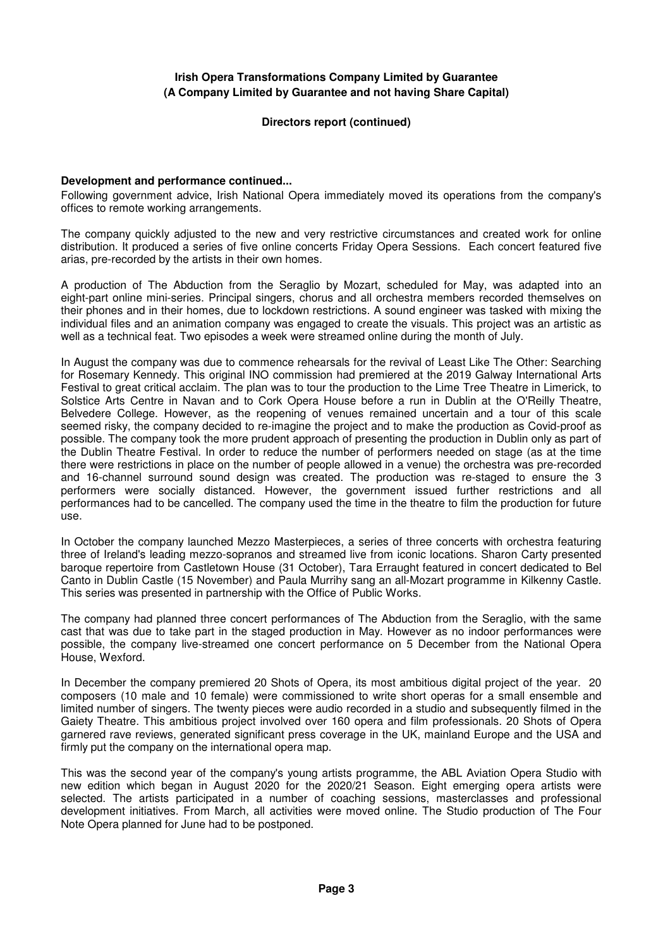#### **Directors report (continued)**

#### **Development and performance continued...**

Following government advice, Irish National Opera immediately moved its operations from the company's offices to remote working arrangements.

The company quickly adjusted to the new and very restrictive circumstances and created work for online distribution. It produced a series of five online concerts Friday Opera Sessions. Each concert featured five arias, pre-recorded by the artists in their own homes.

A production of The Abduction from the Seraglio by Mozart, scheduled for May, was adapted into an eight-part online mini-series. Principal singers, chorus and all orchestra members recorded themselves on their phones and in their homes, due to lockdown restrictions. A sound engineer was tasked with mixing the individual files and an animation company was engaged to create the visuals. This project was an artistic as well as a technical feat. Two episodes a week were streamed online during the month of July.

In August the company was due to commence rehearsals for the revival of Least Like The Other: Searching for Rosemary Kennedy. This original INO commission had premiered at the 2019 Galway International Arts Festival to great critical acclaim. The plan was to tour the production to the Lime Tree Theatre in Limerick, to Solstice Arts Centre in Navan and to Cork Opera House before a run in Dublin at the O'Reilly Theatre, Belvedere College. However, as the reopening of venues remained uncertain and a tour of this scale seemed risky, the company decided to re-imagine the project and to make the production as Covid-proof as possible. The company took the more prudent approach of presenting the production in Dublin only as part of the Dublin Theatre Festival. In order to reduce the number of performers needed on stage (as at the time there were restrictions in place on the number of people allowed in a venue) the orchestra was pre-recorded and 16-channel surround sound design was created. The production was re-staged to ensure the 3 performers were socially distanced. However, the government issued further restrictions and all performances had to be cancelled. The company used the time in the theatre to film the production for future use.

In October the company launched Mezzo Masterpieces, a series of three concerts with orchestra featuring three of Ireland's leading mezzo-sopranos and streamed live from iconic locations. Sharon Carty presented baroque repertoire from Castletown House (31 October), Tara Erraught featured in concert dedicated to Bel Canto in Dublin Castle (15 November) and Paula Murrihy sang an all-Mozart programme in Kilkenny Castle. This series was presented in partnership with the Office of Public Works.

The company had planned three concert performances of The Abduction from the Seraglio, with the same cast that was due to take part in the staged production in May. However as no indoor performances were possible, the company live-streamed one concert performance on 5 December from the National Opera House, Wexford.

In December the company premiered 20 Shots of Opera, its most ambitious digital project of the year. 20 composers (10 male and 10 female) were commissioned to write short operas for a small ensemble and limited number of singers. The twenty pieces were audio recorded in a studio and subsequently filmed in the Gaiety Theatre. This ambitious project involved over 160 opera and film professionals. 20 Shots of Opera garnered rave reviews, generated significant press coverage in the UK, mainland Europe and the USA and firmly put the company on the international opera map.

This was the second year of the company's young artists programme, the ABL Aviation Opera Studio with new edition which began in August 2020 for the 2020/21 Season. Eight emerging opera artists were selected. The artists participated in a number of coaching sessions, masterclasses and professional development initiatives. From March, all activities were moved online. The Studio production of The Four Note Opera planned for June had to be postponed.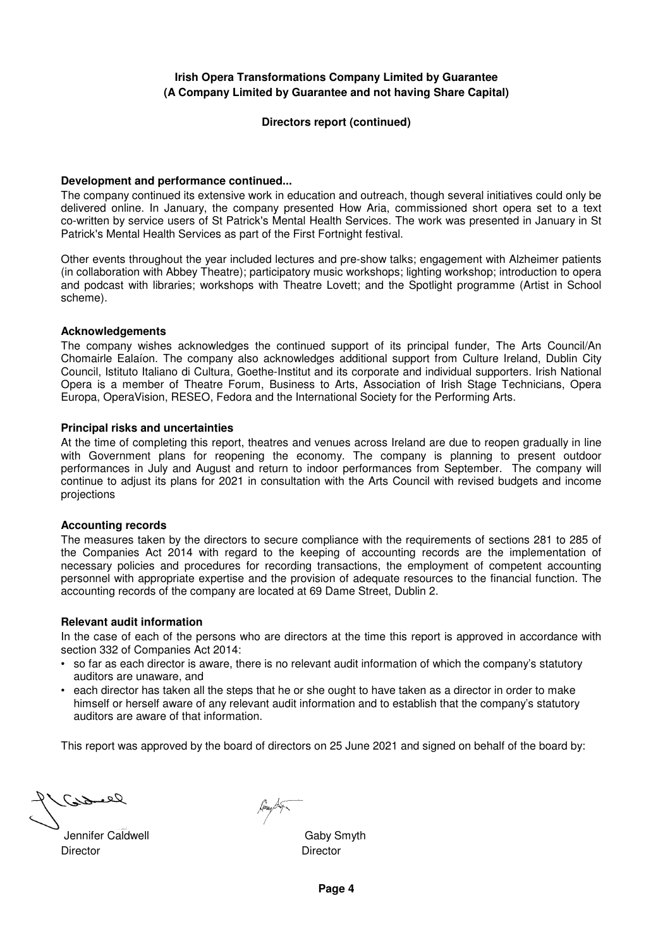#### **Directors report (continued)**

#### **Development and performance continued...**

The company continued its extensive work in education and outreach, though several initiatives could only be delivered online. In January, the company presented How Aria, commissioned short opera set to a text co-written by service users of St Patrick's Mental Health Services. The work was presented in January in St Patrick's Mental Health Services as part of the First Fortnight festival.

Other events throughout the year included lectures and pre-show talks; engagement with Alzheimer patients (in collaboration with Abbey Theatre); participatory music workshops; lighting workshop; introduction to opera and podcast with libraries; workshops with Theatre Lovett; and the Spotlight programme (Artist in School scheme).

#### **Acknowledgements**

The company wishes acknowledges the continued support of its principal funder, The Arts Council/An Chomairle Ealaíon. The company also acknowledges additional support from Culture Ireland, Dublin City Council, Istituto Italiano di Cultura, Goethe-Institut and its corporate and individual supporters. Irish National Opera is a member of Theatre Forum, Business to Arts, Association of Irish Stage Technicians, Opera Europa, OperaVision, RESEO, Fedora and the International Society for the Performing Arts.

#### **Principal risks and uncertainties**

At the time of completing this report, theatres and venues across Ireland are due to reopen gradually in line with Government plans for reopening the economy. The company is planning to present outdoor performances in July and August and return to indoor performances from September. The company will continue to adjust its plans for 2021 in consultation with the Arts Council with revised budgets and income projections

#### **Accounting records**

The measures taken by the directors to secure compliance with the requirements of sections 281 to 285 of the Companies Act 2014 with regard to the keeping of accounting records are the implementation of necessary policies and procedures for recording transactions, the employment of competent accounting personnel with appropriate expertise and the provision of adequate resources to the financial function. The accounting records of the company are located at 69 Dame Street, Dublin 2.

### **Relevant audit information**

In the case of each of the persons who are directors at the time this report is approved in accordance with section 332 of Companies Act 2014:

- so far as each director is aware, there is no relevant audit information of which the company's statutory auditors are unaware, and
- each director has taken all the steps that he or she ought to have taken as a director in order to make himself or herself aware of any relevant audit information and to establish that the company's statutory auditors are aware of that information.

This report was approved by the board of directors on 25 June 2021 and signed on behalf of the board by:

Jennifer Caldwell Gaby Smyth Director **Director** Director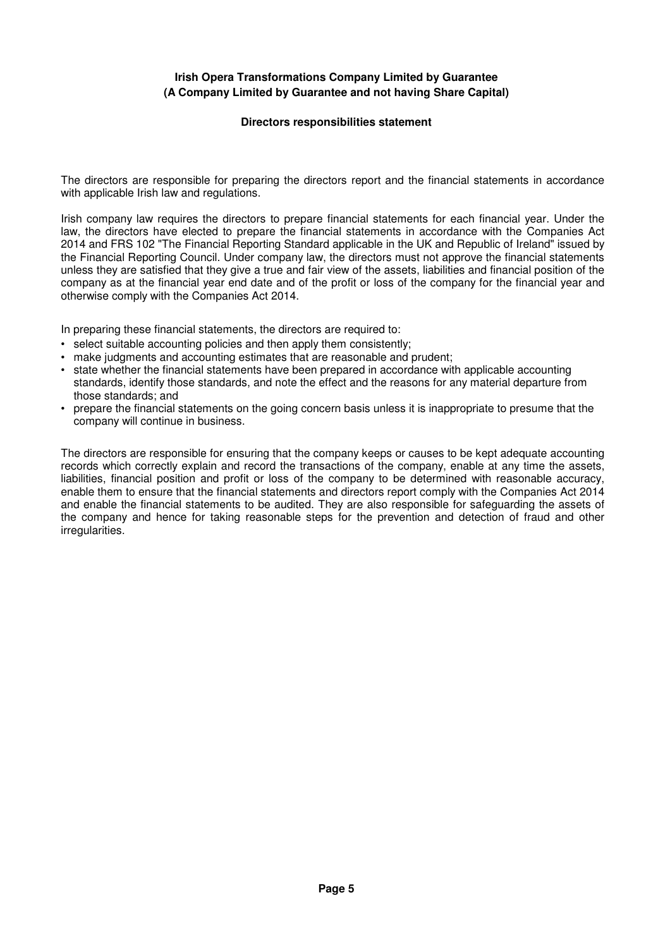### **Directors responsibilities statement**

The directors are responsible for preparing the directors report and the financial statements in accordance with applicable Irish law and regulations.

Irish company law requires the directors to prepare financial statements for each financial year. Under the law, the directors have elected to prepare the financial statements in accordance with the Companies Act 2014 and FRS 102 "The Financial Reporting Standard applicable in the UK and Republic of Ireland" issued by the Financial Reporting Council. Under company law, the directors must not approve the financial statements unless they are satisfied that they give a true and fair view of the assets, liabilities and financial position of the company as at the financial year end date and of the profit or loss of the company for the financial year and otherwise comply with the Companies Act 2014.

In preparing these financial statements, the directors are required to:

- select suitable accounting policies and then apply them consistently;
- make judgments and accounting estimates that are reasonable and prudent;
- state whether the financial statements have been prepared in accordance with applicable accounting standards, identify those standards, and note the effect and the reasons for any material departure from those standards; and
- prepare the financial statements on the going concern basis unless it is inappropriate to presume that the company will continue in business.

The directors are responsible for ensuring that the company keeps or causes to be kept adequate accounting records which correctly explain and record the transactions of the company, enable at any time the assets, liabilities, financial position and profit or loss of the company to be determined with reasonable accuracy, enable them to ensure that the financial statements and directors report comply with the Companies Act 2014 and enable the financial statements to be audited. They are also responsible for safeguarding the assets of the company and hence for taking reasonable steps for the prevention and detection of fraud and other irregularities.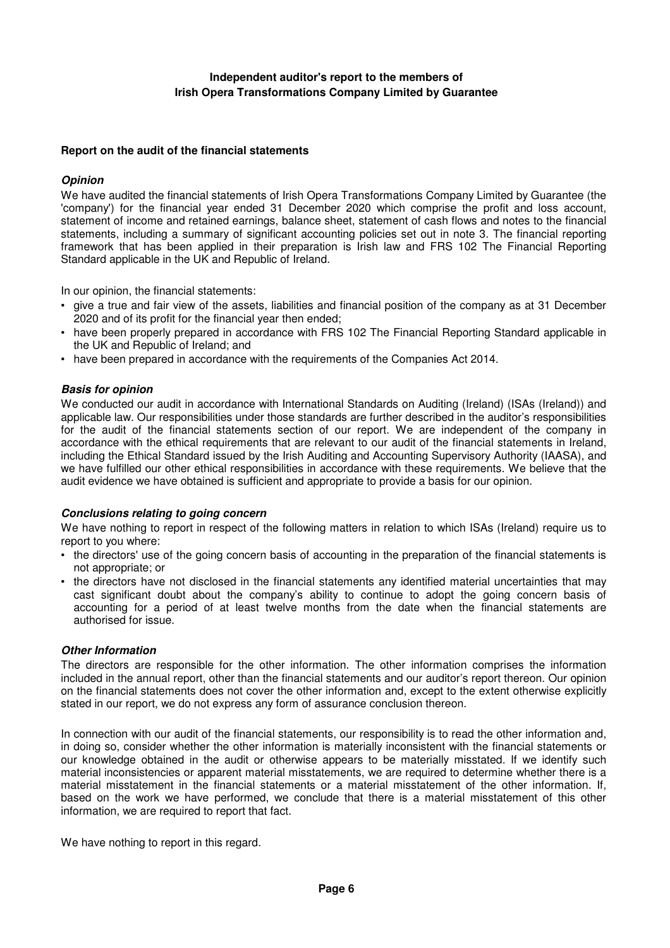## **Independent auditor's report to the members of Irish Opera Transformations Company Limited by Guarantee**

#### **Report on the audit of the financial statements**

#### **Opinion**

We have audited the financial statements of Irish Opera Transformations Company Limited by Guarantee (the 'company') for the financial year ended 31 December 2020 which comprise the profit and loss account, statement of income and retained earnings, balance sheet, statement of cash flows and notes to the financial statements, including a summary of significant accounting policies set out in note 3. The financial reporting framework that has been applied in their preparation is Irish law and FRS 102 The Financial Reporting Standard applicable in the UK and Republic of Ireland.

In our opinion, the financial statements:

- give a true and fair view of the assets, liabilities and financial position of the company as at 31 December 2020 and of its profit for the financial year then ended;
- have been properly prepared in accordance with FRS 102 The Financial Reporting Standard applicable in the UK and Republic of Ireland; and
- have been prepared in accordance with the requirements of the Companies Act 2014.

#### **Basis for opinion**

We conducted our audit in accordance with International Standards on Auditing (Ireland) (ISAs (Ireland)) and applicable law. Our responsibilities under those standards are further described in the auditor's responsibilities for the audit of the financial statements section of our report. We are independent of the company in accordance with the ethical requirements that are relevant to our audit of the financial statements in Ireland, including the Ethical Standard issued by the Irish Auditing and Accounting Supervisory Authority (IAASA), and we have fulfilled our other ethical responsibilities in accordance with these requirements. We believe that the audit evidence we have obtained is sufficient and appropriate to provide a basis for our opinion.

#### **Conclusions relating to going concern**

We have nothing to report in respect of the following matters in relation to which ISAs (Ireland) require us to report to you where:

- the directors' use of the going concern basis of accounting in the preparation of the financial statements is not appropriate; or
- the directors have not disclosed in the financial statements any identified material uncertainties that may cast significant doubt about the company's ability to continue to adopt the going concern basis of accounting for a period of at least twelve months from the date when the financial statements are authorised for issue.

#### **Other Information**

The directors are responsible for the other information. The other information comprises the information included in the annual report, other than the financial statements and our auditor's report thereon. Our opinion on the financial statements does not cover the other information and, except to the extent otherwise explicitly stated in our report, we do not express any form of assurance conclusion thereon.

In connection with our audit of the financial statements, our responsibility is to read the other information and, in doing so, consider whether the other information is materially inconsistent with the financial statements or our knowledge obtained in the audit or otherwise appears to be materially misstated. If we identify such material inconsistencies or apparent material misstatements, we are required to determine whether there is a material misstatement in the financial statements or a material misstatement of the other information. If, based on the work we have performed, we conclude that there is a material misstatement of this other information, we are required to report that fact.

We have nothing to report in this regard.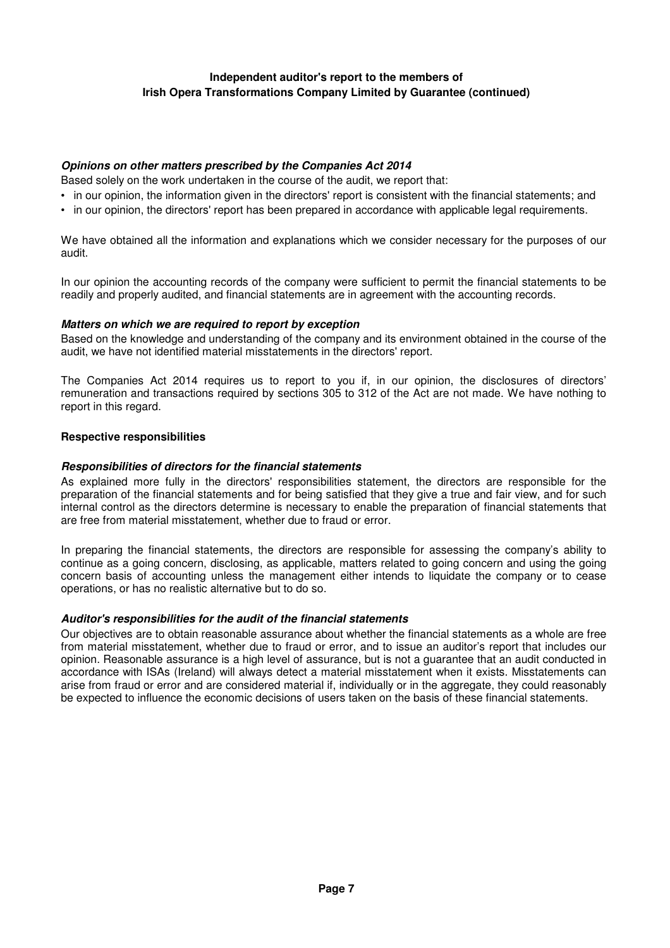# **Independent auditor's report to the members of Irish Opera Transformations Company Limited by Guarantee (continued)**

### **Opinions on other matters prescribed by the Companies Act 2014**

Based solely on the work undertaken in the course of the audit, we report that:

- in our opinion, the information given in the directors' report is consistent with the financial statements; and
- in our opinion, the directors' report has been prepared in accordance with applicable legal requirements.

We have obtained all the information and explanations which we consider necessary for the purposes of our audit.

In our opinion the accounting records of the company were sufficient to permit the financial statements to be readily and properly audited, and financial statements are in agreement with the accounting records.

### **Matters on which we are required to report by exception**

Based on the knowledge and understanding of the company and its environment obtained in the course of the audit, we have not identified material misstatements in the directors' report.

The Companies Act 2014 requires us to report to you if, in our opinion, the disclosures of directors' remuneration and transactions required by sections 305 to 312 of the Act are not made. We have nothing to report in this regard.

#### **Respective responsibilities**

#### **Responsibilities of directors for the financial statements**

As explained more fully in the directors' responsibilities statement, the directors are responsible for the preparation of the financial statements and for being satisfied that they give a true and fair view, and for such internal control as the directors determine is necessary to enable the preparation of financial statements that are free from material misstatement, whether due to fraud or error.

In preparing the financial statements, the directors are responsible for assessing the company's ability to continue as a going concern, disclosing, as applicable, matters related to going concern and using the going concern basis of accounting unless the management either intends to liquidate the company or to cease operations, or has no realistic alternative but to do so.

### **Auditor's responsibilities for the audit of the financial statements**

Our objectives are to obtain reasonable assurance about whether the financial statements as a whole are free from material misstatement, whether due to fraud or error, and to issue an auditor's report that includes our opinion. Reasonable assurance is a high level of assurance, but is not a guarantee that an audit conducted in accordance with ISAs (Ireland) will always detect a material misstatement when it exists. Misstatements can arise from fraud or error and are considered material if, individually or in the aggregate, they could reasonably be expected to influence the economic decisions of users taken on the basis of these financial statements.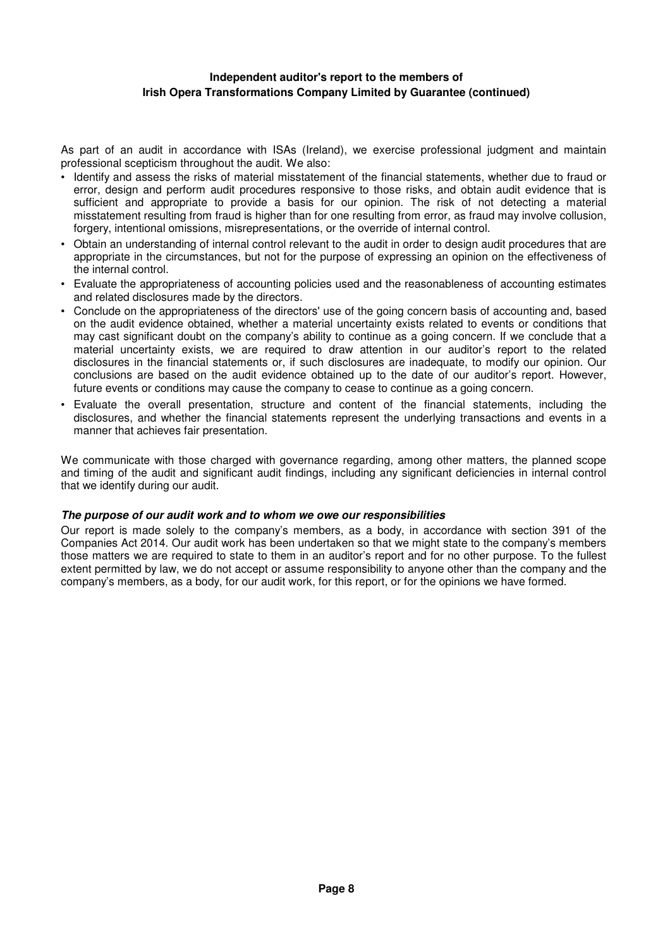### **Independent auditor's report to the members of Irish Opera Transformations Company Limited by Guarantee (continued)**

As part of an audit in accordance with ISAs (Ireland), we exercise professional judgment and maintain professional scepticism throughout the audit. We also:

- Identify and assess the risks of material misstatement of the financial statements, whether due to fraud or error, design and perform audit procedures responsive to those risks, and obtain audit evidence that is sufficient and appropriate to provide a basis for our opinion. The risk of not detecting a material misstatement resulting from fraud is higher than for one resulting from error, as fraud may involve collusion, forgery, intentional omissions, misrepresentations, or the override of internal control.
- Obtain an understanding of internal control relevant to the audit in order to design audit procedures that are appropriate in the circumstances, but not for the purpose of expressing an opinion on the effectiveness of the internal control.
- Evaluate the appropriateness of accounting policies used and the reasonableness of accounting estimates and related disclosures made by the directors.
- Conclude on the appropriateness of the directors' use of the going concern basis of accounting and, based on the audit evidence obtained, whether a material uncertainty exists related to events or conditions that may cast significant doubt on the company's ability to continue as a going concern. If we conclude that a material uncertainty exists, we are required to draw attention in our auditor's report to the related disclosures in the financial statements or, if such disclosures are inadequate, to modify our opinion. Our conclusions are based on the audit evidence obtained up to the date of our auditor's report. However, future events or conditions may cause the company to cease to continue as a going concern.
- Evaluate the overall presentation, structure and content of the financial statements, including the disclosures, and whether the financial statements represent the underlying transactions and events in a manner that achieves fair presentation.

We communicate with those charged with governance regarding, among other matters, the planned scope and timing of the audit and significant audit findings, including any significant deficiencies in internal control that we identify during our audit.

### **The purpose of our audit work and to whom we owe our responsibilities**

Our report is made solely to the company's members, as a body, in accordance with section 391 of the Companies Act 2014. Our audit work has been undertaken so that we might state to the company's members those matters we are required to state to them in an auditor's report and for no other purpose. To the fullest extent permitted by law, we do not accept or assume responsibility to anyone other than the company and the company's members, as a body, for our audit work, for this report, or for the opinions we have formed.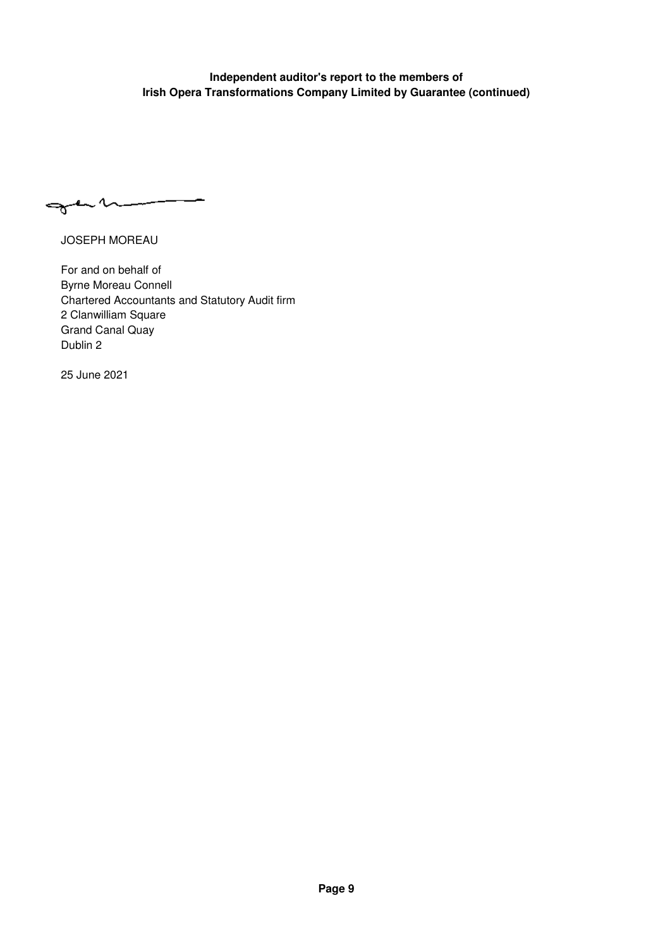# **Independent auditor's report to the members of Irish Opera Transformations Company Limited by Guarantee (continued)**

gann

JOSEPH MOREAU

For and on behalf of Byrne Moreau Connell Chartered Accountants and Statutory Audit firm 2 Clanwilliam Square Grand Canal Quay Dublin 2

25 June 2021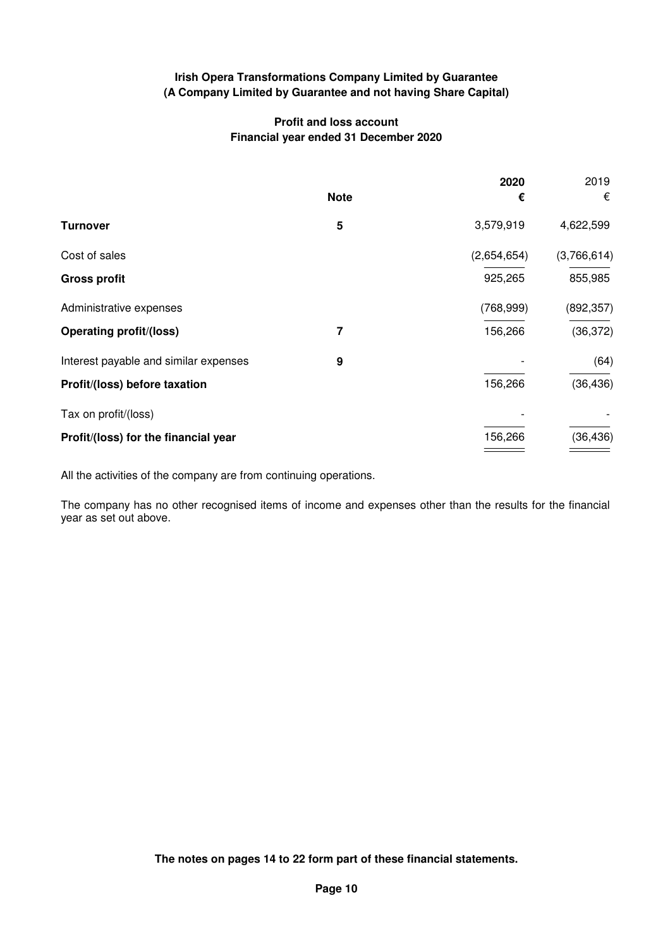# **Profit and loss account Financial year ended 31 December 2020**

|             | 2020        | 2019        |
|-------------|-------------|-------------|
| <b>Note</b> | €           | €           |
| 5           | 3,579,919   | 4,622,599   |
|             | (2,654,654) | (3,766,614) |
|             | 925,265     | 855,985     |
|             | (768, 999)  | (892, 357)  |
| 7           | 156,266     | (36, 372)   |
| 9           |             | (64)        |
|             | 156,266     | (36, 436)   |
|             |             |             |
|             | 156,266     | (36, 436)   |
|             |             |             |

All the activities of the company are from continuing operations.

The company has no other recognised items of income and expenses other than the results for the financial year as set out above.

**The notes on pages 14 to 22 form part of these financial statements.**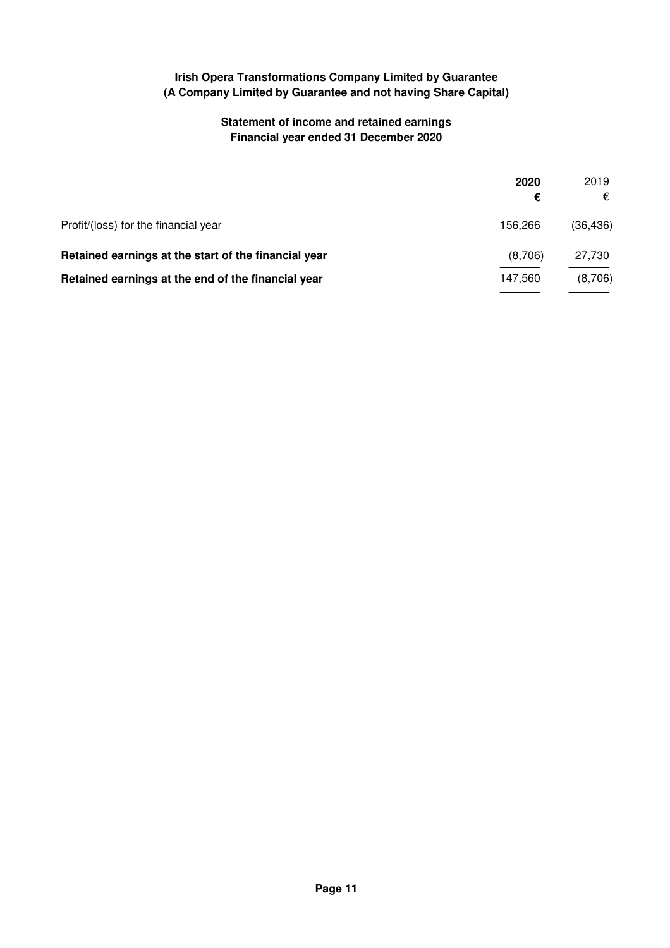# **Statement of income and retained earnings Financial year ended 31 December 2020**

|                                                      | 2020    | 2019      |
|------------------------------------------------------|---------|-----------|
|                                                      | €       | €         |
| Profit/(loss) for the financial year                 | 156.266 | (36, 436) |
| Retained earnings at the start of the financial year | (8,706) | 27,730    |
| Retained earnings at the end of the financial year   | 147.560 | (8,706)   |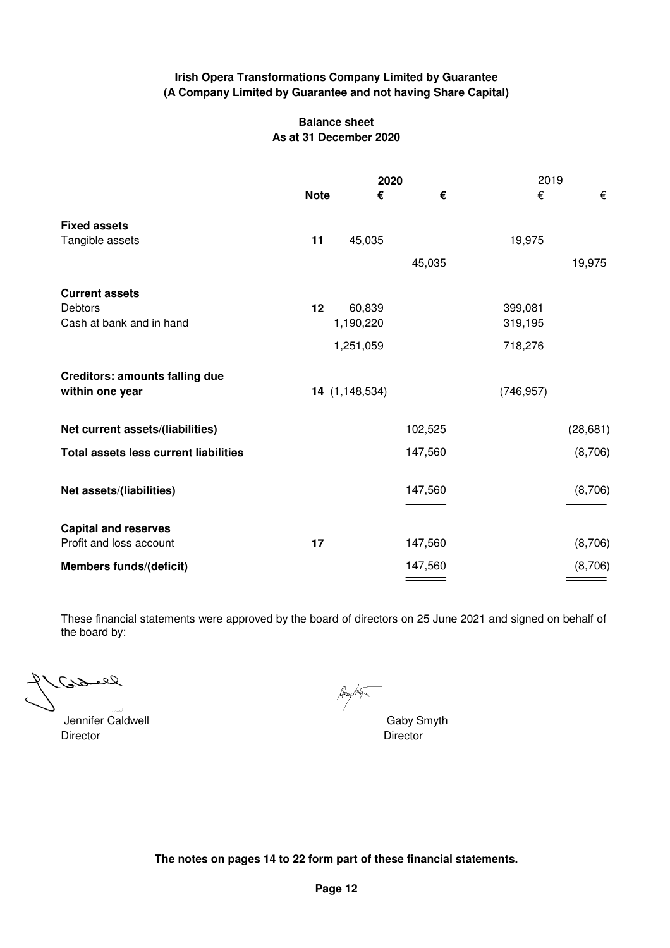## **Balance sheet As at 31 December 2020**

|                                              | 2020        |                 |         |            |           |
|----------------------------------------------|-------------|-----------------|---------|------------|-----------|
|                                              | <b>Note</b> | €               | €       | €          | €         |
| <b>Fixed assets</b>                          |             |                 |         |            |           |
| Tangible assets                              | 11          | 45,035          |         | 19,975     |           |
|                                              |             |                 | 45,035  |            | 19,975    |
| <b>Current assets</b>                        |             |                 |         |            |           |
| Debtors                                      | 12          | 60,839          |         | 399,081    |           |
| Cash at bank and in hand                     |             | 1,190,220       |         | 319,195    |           |
|                                              |             | 1,251,059       |         | 718,276    |           |
| <b>Creditors: amounts falling due</b>        |             |                 |         |            |           |
| within one year                              |             | 14(1, 148, 534) |         | (746, 957) |           |
| Net current assets/(liabilities)             |             |                 | 102,525 |            | (28, 681) |
| <b>Total assets less current liabilities</b> |             |                 | 147,560 |            | (8,706)   |
| Net assets/(liabilities)                     |             |                 | 147,560 |            | (8,706)   |
| <b>Capital and reserves</b>                  |             |                 |         |            |           |
| Profit and loss account                      | 17          |                 | 147,560 |            | (8,706)   |
| <b>Members funds/(deficit)</b>               |             |                 | 147,560 |            | (8,706)   |

These financial statements were approved by the board of directors on 25 June 2021 and signed on behalf of the board by:

خمنوك حعمہ

Jennifer Caldwell **Gaby Smyth** Director Director

may Dug

**The notes on pages 14 to 22 form part of these financial statements.**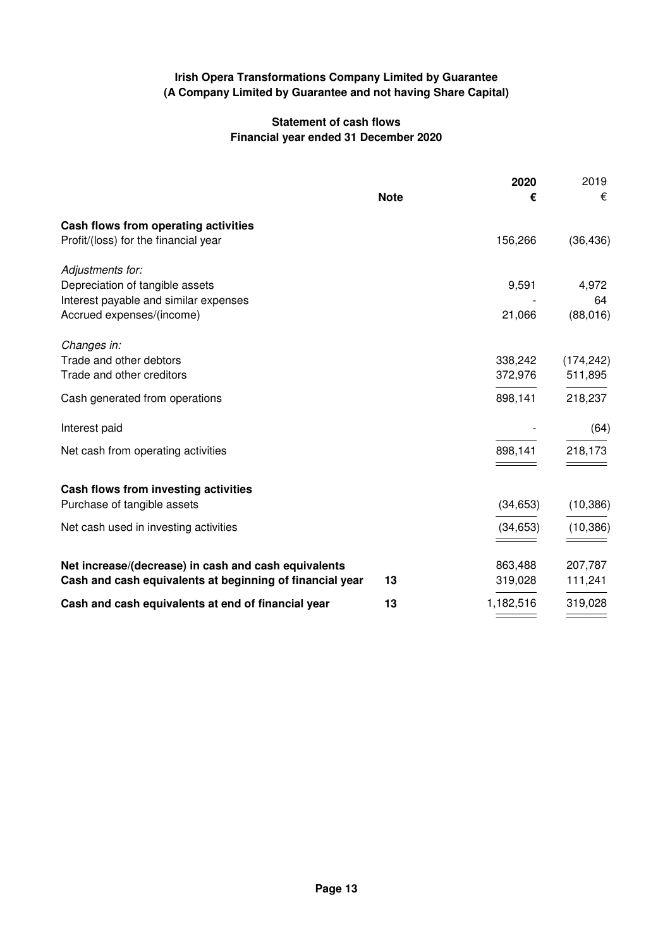# **Statement of cash flows Financial year ended 31 December 2020**

|                                                          |             | 2020      | 2019       |
|----------------------------------------------------------|-------------|-----------|------------|
|                                                          | <b>Note</b> | €         | €          |
| Cash flows from operating activities                     |             |           |            |
| Profit/(loss) for the financial year                     |             | 156,266   | (36, 436)  |
| Adjustments for:                                         |             |           |            |
| Depreciation of tangible assets                          |             | 9,591     | 4,972      |
| Interest payable and similar expenses                    |             |           | 64         |
| Accrued expenses/(income)                                |             | 21,066    | (88,016)   |
| Changes in:                                              |             |           |            |
| Trade and other debtors                                  |             | 338,242   | (174, 242) |
| Trade and other creditors                                |             | 372,976   | 511,895    |
| Cash generated from operations                           |             | 898,141   | 218,237    |
| Interest paid                                            |             |           | (64)       |
| Net cash from operating activities                       |             | 898,141   | 218,173    |
|                                                          |             |           |            |
| Cash flows from investing activities                     |             |           |            |
| Purchase of tangible assets                              |             | (34, 653) | (10, 386)  |
| Net cash used in investing activities                    |             | (34, 653) | (10, 386)  |
|                                                          |             |           |            |
| Net increase/(decrease) in cash and cash equivalents     |             | 863,488   | 207,787    |
| Cash and cash equivalents at beginning of financial year | 13          | 319,028   | 111,241    |
| Cash and cash equivalents at end of financial year       | 13          | 1,182,516 | 319,028    |
|                                                          |             |           |            |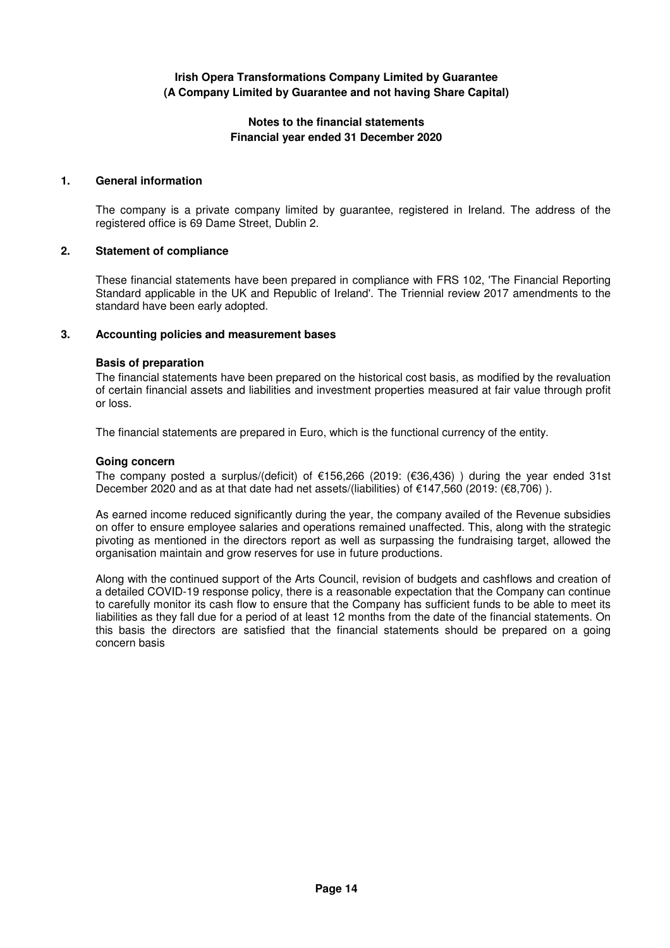### **Notes to the financial statements Financial year ended 31 December 2020**

### **1. General information**

The company is a private company limited by guarantee, registered in Ireland. The address of the registered office is 69 Dame Street, Dublin 2.

## **2. Statement of compliance**

These financial statements have been prepared in compliance with FRS 102, 'The Financial Reporting Standard applicable in the UK and Republic of Ireland'. The Triennial review 2017 amendments to the standard have been early adopted.

## **3. Accounting policies and measurement bases**

### **Basis of preparation**

The financial statements have been prepared on the historical cost basis, as modified by the revaluation of certain financial assets and liabilities and investment properties measured at fair value through profit or loss.

The financial statements are prepared in Euro, which is the functional currency of the entity.

### **Going concern**

The company posted a surplus/(deficit) of €156,266 (2019: (€36,436) ) during the year ended 31st December 2020 and as at that date had net assets/(liabilities) of €147,560 (2019: (€8,706)).

As earned income reduced significantly during the year, the company availed of the Revenue subsidies on offer to ensure employee salaries and operations remained unaffected. This, along with the strategic pivoting as mentioned in the directors report as well as surpassing the fundraising target, allowed the organisation maintain and grow reserves for use in future productions.

Along with the continued support of the Arts Council, revision of budgets and cashflows and creation of a detailed COVID-19 response policy, there is a reasonable expectation that the Company can continue to carefully monitor its cash flow to ensure that the Company has sufficient funds to be able to meet its liabilities as they fall due for a period of at least 12 months from the date of the financial statements. On this basis the directors are satisfied that the financial statements should be prepared on a going concern basis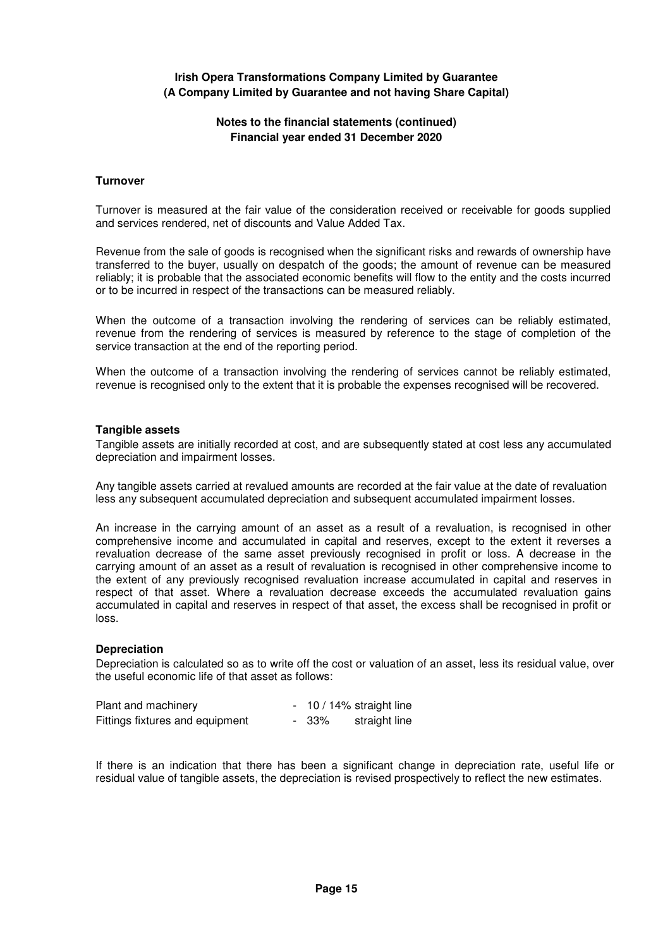### **Notes to the financial statements (continued) Financial year ended 31 December 2020**

#### **Turnover**

Turnover is measured at the fair value of the consideration received or receivable for goods supplied and services rendered, net of discounts and Value Added Tax.

Revenue from the sale of goods is recognised when the significant risks and rewards of ownership have transferred to the buyer, usually on despatch of the goods; the amount of revenue can be measured reliably; it is probable that the associated economic benefits will flow to the entity and the costs incurred or to be incurred in respect of the transactions can be measured reliably.

When the outcome of a transaction involving the rendering of services can be reliably estimated, revenue from the rendering of services is measured by reference to the stage of completion of the service transaction at the end of the reporting period.

When the outcome of a transaction involving the rendering of services cannot be reliably estimated, revenue is recognised only to the extent that it is probable the expenses recognised will be recovered.

#### **Tangible assets**

Tangible assets are initially recorded at cost, and are subsequently stated at cost less any accumulated depreciation and impairment losses.

Any tangible assets carried at revalued amounts are recorded at the fair value at the date of revaluation less any subsequent accumulated depreciation and subsequent accumulated impairment losses.

An increase in the carrying amount of an asset as a result of a revaluation, is recognised in other comprehensive income and accumulated in capital and reserves, except to the extent it reverses a revaluation decrease of the same asset previously recognised in profit or loss. A decrease in the carrying amount of an asset as a result of revaluation is recognised in other comprehensive income to the extent of any previously recognised revaluation increase accumulated in capital and reserves in respect of that asset. Where a revaluation decrease exceeds the accumulated revaluation gains accumulated in capital and reserves in respect of that asset, the excess shall be recognised in profit or loss.

#### **Depreciation**

Depreciation is calculated so as to write off the cost or valuation of an asset, less its residual value, over the useful economic life of that asset as follows:

| Plant and machinery             |       | $-10/14\%$ straight line |
|---------------------------------|-------|--------------------------|
| Fittings fixtures and equipment | - 33% | straight line            |

If there is an indication that there has been a significant change in depreciation rate, useful life or residual value of tangible assets, the depreciation is revised prospectively to reflect the new estimates.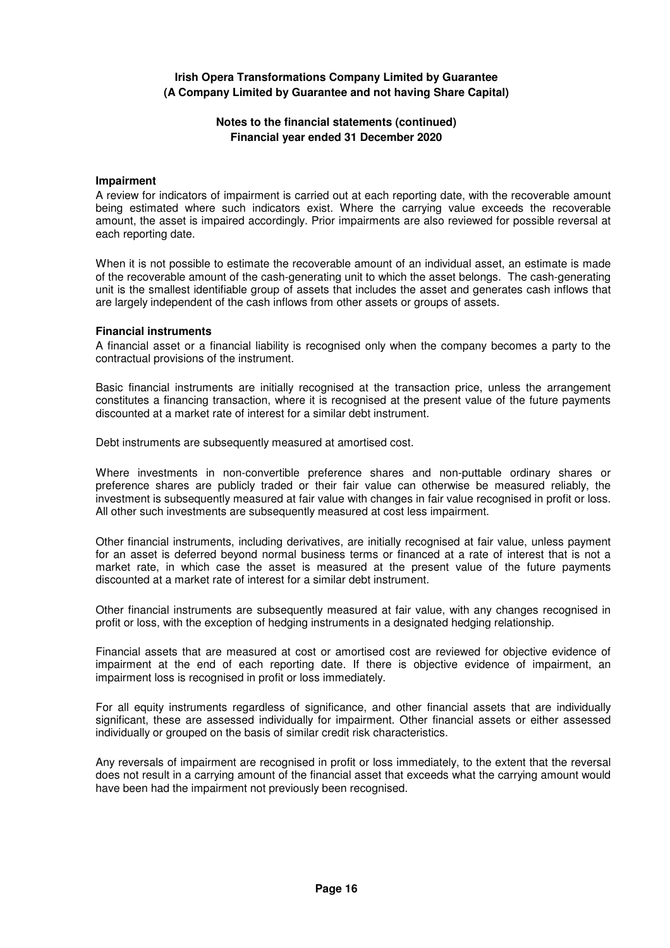## **Notes to the financial statements (continued) Financial year ended 31 December 2020**

#### **Impairment**

A review for indicators of impairment is carried out at each reporting date, with the recoverable amount being estimated where such indicators exist. Where the carrying value exceeds the recoverable amount, the asset is impaired accordingly. Prior impairments are also reviewed for possible reversal at each reporting date.

When it is not possible to estimate the recoverable amount of an individual asset, an estimate is made of the recoverable amount of the cash-generating unit to which the asset belongs. The cash-generating unit is the smallest identifiable group of assets that includes the asset and generates cash inflows that are largely independent of the cash inflows from other assets or groups of assets.

#### **Financial instruments**

A financial asset or a financial liability is recognised only when the company becomes a party to the contractual provisions of the instrument.

Basic financial instruments are initially recognised at the transaction price, unless the arrangement constitutes a financing transaction, where it is recognised at the present value of the future payments discounted at a market rate of interest for a similar debt instrument.

Debt instruments are subsequently measured at amortised cost.

Where investments in non-convertible preference shares and non-puttable ordinary shares or preference shares are publicly traded or their fair value can otherwise be measured reliably, the investment is subsequently measured at fair value with changes in fair value recognised in profit or loss. All other such investments are subsequently measured at cost less impairment.

Other financial instruments, including derivatives, are initially recognised at fair value, unless payment for an asset is deferred beyond normal business terms or financed at a rate of interest that is not a market rate, in which case the asset is measured at the present value of the future payments discounted at a market rate of interest for a similar debt instrument.

Other financial instruments are subsequently measured at fair value, with any changes recognised in profit or loss, with the exception of hedging instruments in a designated hedging relationship.

Financial assets that are measured at cost or amortised cost are reviewed for objective evidence of impairment at the end of each reporting date. If there is objective evidence of impairment, an impairment loss is recognised in profit or loss immediately.

For all equity instruments regardless of significance, and other financial assets that are individually significant, these are assessed individually for impairment. Other financial assets or either assessed individually or grouped on the basis of similar credit risk characteristics.

Any reversals of impairment are recognised in profit or loss immediately, to the extent that the reversal does not result in a carrying amount of the financial asset that exceeds what the carrying amount would have been had the impairment not previously been recognised.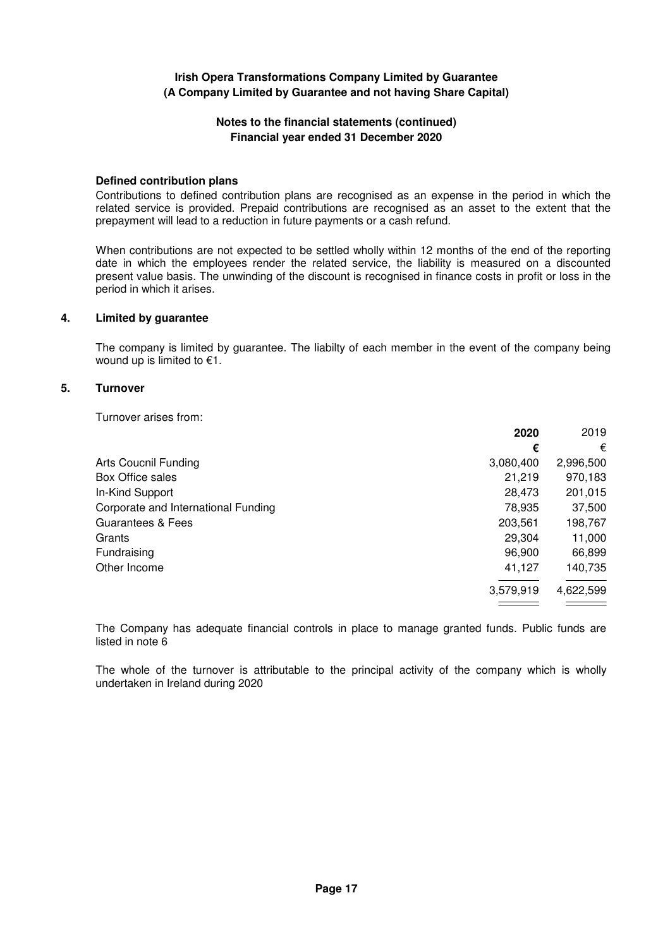### **Notes to the financial statements (continued) Financial year ended 31 December 2020**

#### **Defined contribution plans**

Contributions to defined contribution plans are recognised as an expense in the period in which the related service is provided. Prepaid contributions are recognised as an asset to the extent that the prepayment will lead to a reduction in future payments or a cash refund.

When contributions are not expected to be settled wholly within 12 months of the end of the reporting date in which the employees render the related service, the liability is measured on a discounted present value basis. The unwinding of the discount is recognised in finance costs in profit or loss in the period in which it arises.

#### **4. Limited by guarantee**

The company is limited by guarantee. The liabilty of each member in the event of the company being wound up is limited to  $€1$ .

### **5. Turnover**

Turnover arises from:

| €<br><b>Arts Coucnil Funding</b><br>3,080,400<br>21,219<br>Box Office sales<br>In-Kind Support<br>28,473<br>Corporate and International Funding<br>78,935<br>Guarantees & Fees<br>203,561<br>29,304<br>Grants<br>Fundraising<br>96,900<br>41,127<br>Other Income | 2019      |
|------------------------------------------------------------------------------------------------------------------------------------------------------------------------------------------------------------------------------------------------------------------|-----------|
|                                                                                                                                                                                                                                                                  | €         |
|                                                                                                                                                                                                                                                                  | 2,996,500 |
|                                                                                                                                                                                                                                                                  | 970,183   |
|                                                                                                                                                                                                                                                                  | 201,015   |
|                                                                                                                                                                                                                                                                  | 37,500    |
|                                                                                                                                                                                                                                                                  | 198,767   |
|                                                                                                                                                                                                                                                                  | 11,000    |
|                                                                                                                                                                                                                                                                  | 66,899    |
|                                                                                                                                                                                                                                                                  | 140,735   |
| 3,579,919                                                                                                                                                                                                                                                        | 4,622,599 |

The Company has adequate financial controls in place to manage granted funds. Public funds are listed in note 6

The whole of the turnover is attributable to the principal activity of the company which is wholly undertaken in Ireland during 2020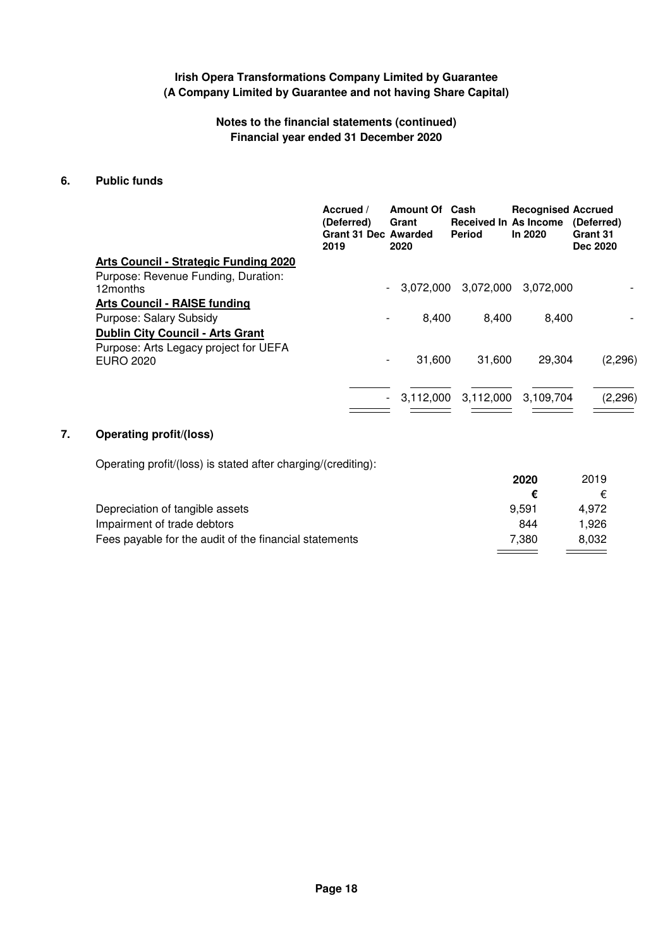## **Notes to the financial statements (continued) Financial year ended 31 December 2020**

## **6. Public funds**

|                                                           | Accrued /<br>(Deferred)<br><b>Grant 31 Dec Awarded</b><br>2019 | <b>Amount Of</b><br>Grant<br>2020     | Cash<br><b>Received In As Income</b><br><b>Period</b> | <b>Recognised Accrued</b><br>In 2020 | (Deferred)<br>Grant 31<br>Dec 2020 |
|-----------------------------------------------------------|----------------------------------------------------------------|---------------------------------------|-------------------------------------------------------|--------------------------------------|------------------------------------|
| Arts Council - Strategic Funding 2020                     |                                                                |                                       |                                                       |                                      |                                    |
| Purpose: Revenue Funding, Duration:<br>12months           |                                                                | 3.072.000<br>$\overline{\phantom{a}}$ | 3,072,000                                             | 3.072.000                            |                                    |
| <b>Arts Council - RAISE funding</b>                       |                                                                |                                       |                                                       |                                      |                                    |
| Purpose: Salary Subsidy                                   |                                                                | 8.400<br>$\qquad \qquad$              | 8.400                                                 | 8.400                                |                                    |
| <b>Dublin City Council - Arts Grant</b>                   |                                                                |                                       |                                                       |                                      |                                    |
| Purpose: Arts Legacy project for UEFA<br><b>EURO 2020</b> |                                                                | 31.600<br>$\overline{\phantom{a}}$    | 31.600                                                | 29.304                               | (2,296)                            |
|                                                           |                                                                | 3.112,000<br>$\sim$                   | 3,112,000                                             | 3.109.704                            | (2, 296)                           |

# **7. Operating profit/(loss)**

Operating profit/(loss) is stated after charging/(crediting):

|                                                        | 2020  | 2019  |
|--------------------------------------------------------|-------|-------|
|                                                        |       | €     |
| Depreciation of tangible assets                        | 9.591 | 4.972 |
| Impairment of trade debtors                            | 844   | 1.926 |
| Fees payable for the audit of the financial statements | 7.380 | 8.032 |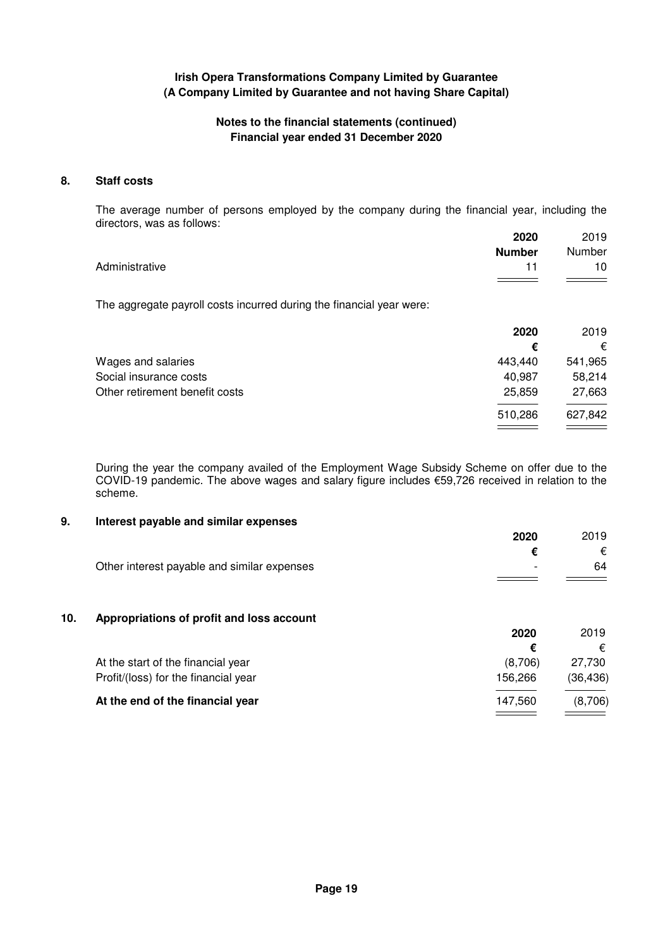## **Notes to the financial statements (continued) Financial year ended 31 December 2020**

### **8. Staff costs**

The average number of persons employed by the company during the financial year, including the directors, was as follows:

|                | 2020          | 2019   |
|----------------|---------------|--------|
|                | <b>Number</b> | Number |
| Administrative |               | 10     |
|                |               |        |

The aggregate payroll costs incurred during the financial year were:

|                                | 2020    | 2019    |
|--------------------------------|---------|---------|
|                                | €       | €       |
| Wages and salaries             | 443,440 | 541,965 |
| Social insurance costs         | 40,987  | 58,214  |
| Other retirement benefit costs | 25,859  | 27,663  |
|                                | 510,286 | 627,842 |
|                                |         |         |

During the year the company availed of the Employment Wage Subsidy Scheme on offer due to the COVID-19 pandemic. The above wages and salary figure includes €59,726 received in relation to the scheme.

### **9. Interest payable and similar expenses**

|                                             | 2020                     | 2019 |
|---------------------------------------------|--------------------------|------|
|                                             |                          | €    |
| Other interest payable and similar expenses | $\overline{\phantom{0}}$ | 64   |
|                                             |                          |      |

### **10. Appropriations of profit and loss account**

|                                      | 2020    | 2019      |
|--------------------------------------|---------|-----------|
|                                      |         | €         |
| At the start of the financial year   | (8.706) | 27.730    |
| Profit/(loss) for the financial year | 156.266 | (36, 436) |
| At the end of the financial year     | 147.560 | (8,706)   |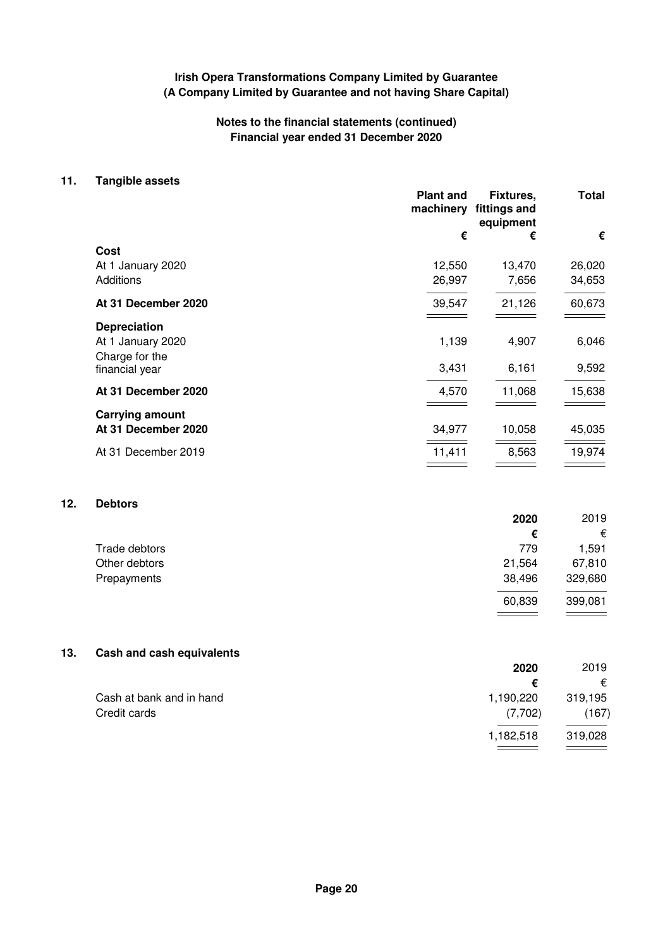# **Notes to the financial statements (continued) Financial year ended 31 December 2020**

#### **11. Tangible assets**

|                        | <b>Plant and</b><br>machinery | Fixtures,<br>fittings and<br>equipment | Total  |
|------------------------|-------------------------------|----------------------------------------|--------|
|                        | €                             | €                                      | €      |
| Cost                   |                               |                                        |        |
| At 1 January 2020      | 12,550                        | 13,470                                 | 26,020 |
| Additions              | 26,997                        | 7,656                                  | 34,653 |
| At 31 December 2020    | 39,547                        | 21,126                                 | 60,673 |
| <b>Depreciation</b>    |                               |                                        |        |
| At 1 January 2020      | 1,139                         | 4,907                                  | 6,046  |
| Charge for the         |                               |                                        |        |
| financial year         | 3,431                         | 6,161                                  | 9,592  |
| At 31 December 2020    | 4,570                         | 11,068                                 | 15,638 |
| <b>Carrying amount</b> |                               |                                        |        |
| At 31 December 2020    | 34,977                        | 10,058                                 | 45,035 |
| At 31 December 2019    | 11,411                        | 8,563                                  | 19,974 |
|                        |                               |                                        |        |

# **12. Debtors**

|               | 2020   | 2019    |
|---------------|--------|---------|
|               | €      | €       |
| Trade debtors | 779    | 1.591   |
| Other debtors | 21,564 | 67,810  |
| Prepayments   | 38,496 | 329,680 |
|               | 60,839 | 399,081 |
|               |        |         |

# **13. Cash and cash equivalents**

|                          | 2020      | 2019    |
|--------------------------|-----------|---------|
|                          | €         | €       |
| Cash at bank and in hand | 1,190,220 | 319,195 |
| Credit cards             | (7,702)   | (167)   |
|                          | 1,182,518 | 319,028 |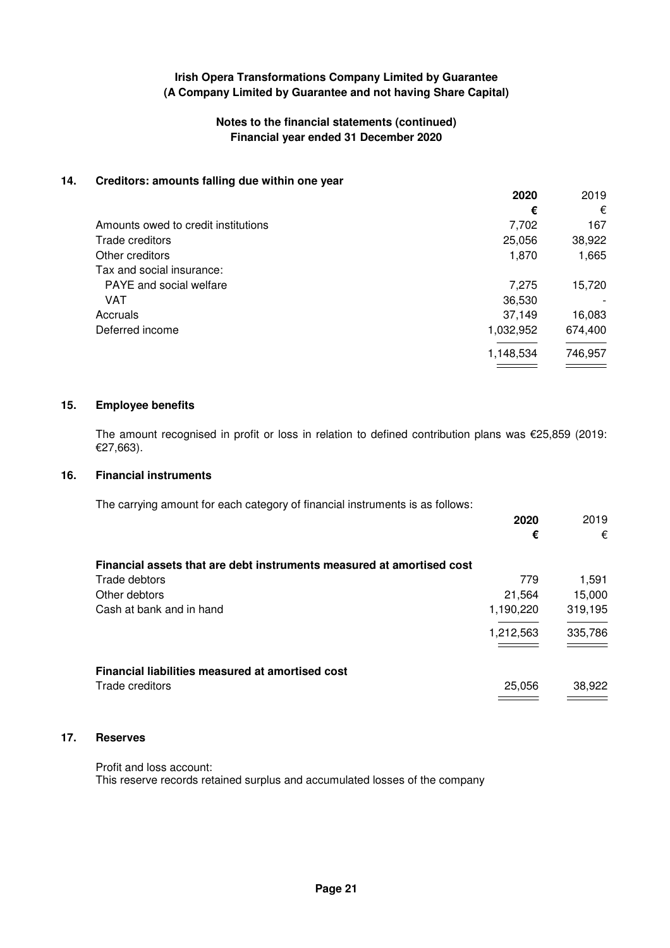## **Notes to the financial statements (continued) Financial year ended 31 December 2020**

### **14. Creditors: amounts falling due within one year**

|                                     | 2020      | 2019    |
|-------------------------------------|-----------|---------|
|                                     | €         | €       |
| Amounts owed to credit institutions | 7,702     | 167     |
| Trade creditors                     | 25,056    | 38,922  |
| Other creditors                     | 1,870     | 1,665   |
| Tax and social insurance:           |           |         |
| <b>PAYE</b> and social welfare      | 7,275     | 15,720  |
| VAT                                 | 36,530    |         |
| Accruals                            | 37,149    | 16,083  |
| Deferred income                     | 1,032,952 | 674,400 |
|                                     | 1,148,534 | 746,957 |
|                                     |           |         |

#### **15. Employee benefits**

The amount recognised in profit or loss in relation to defined contribution plans was €25,859 (2019: €27,663).

## **16. Financial instruments**

The carrying amount for each category of financial instruments is as follows:

|                                                                       | 2020      | 2019    |
|-----------------------------------------------------------------------|-----------|---------|
|                                                                       | €         | €       |
| Financial assets that are debt instruments measured at amortised cost |           |         |
| Trade debtors                                                         | 779       | 1,591   |
| Other debtors                                                         | 21,564    | 15,000  |
| Cash at bank and in hand                                              | 1,190,220 | 319,195 |
|                                                                       | 1,212,563 | 335,786 |
|                                                                       |           |         |
| Financial liabilities measured at amortised cost                      |           |         |
| Trade creditors                                                       | 25,056    | 38,922  |

### **17. Reserves**

Profit and loss account:

This reserve records retained surplus and accumulated losses of the company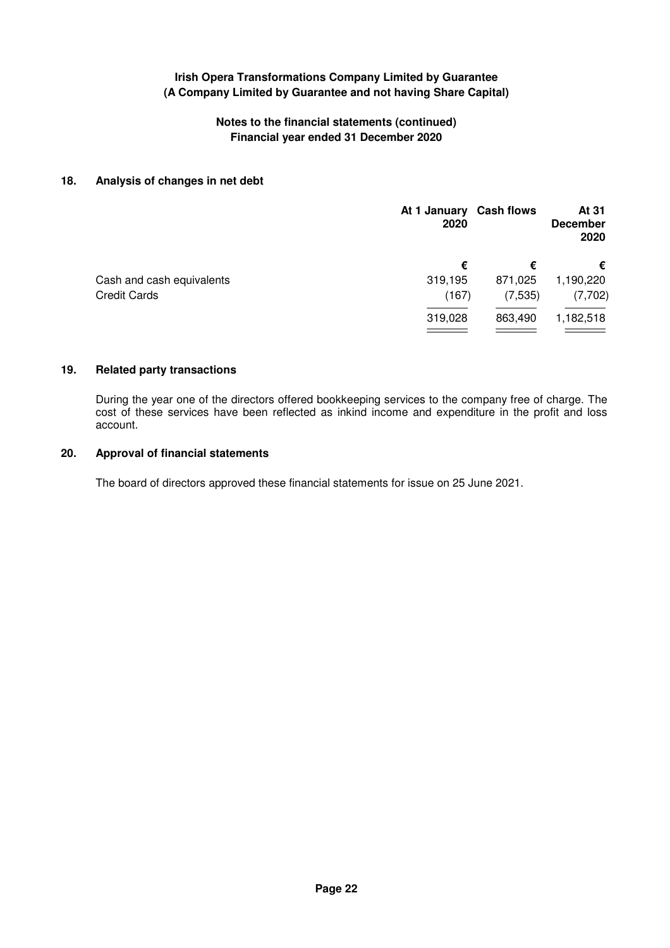# **Notes to the financial statements (continued) Financial year ended 31 December 2020**

### **18. Analysis of changes in net debt**

|                           | At 1 January Cash flows<br>2020 |          | At 31<br><b>December</b><br>2020 |
|---------------------------|---------------------------------|----------|----------------------------------|
|                           | €                               | €        | €                                |
| Cash and cash equivalents | 319,195                         | 871,025  | 1,190,220                        |
| <b>Credit Cards</b>       | (167)                           | (7, 535) | (7,702)                          |
|                           | 319,028                         | 863,490  | 1,182,518                        |
|                           |                                 |          |                                  |

#### **19. Related party transactions**

During the year one of the directors offered bookkeeping services to the company free of charge. The cost of these services have been reflected as inkind income and expenditure in the profit and loss account.

# **20. Approval of financial statements**

The board of directors approved these financial statements for issue on 25 June 2021.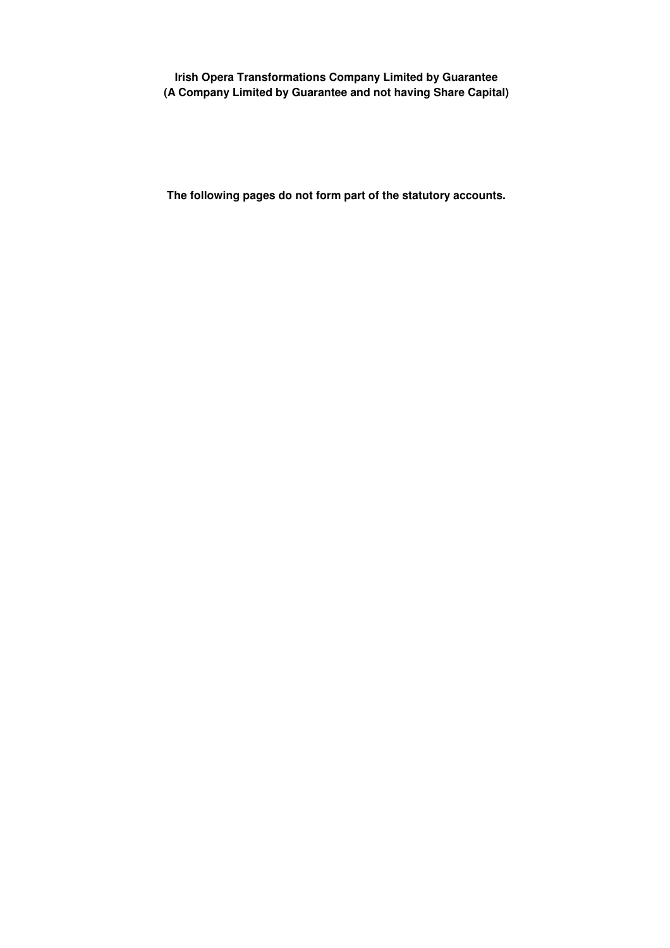**The following pages do not form part of the statutory accounts.**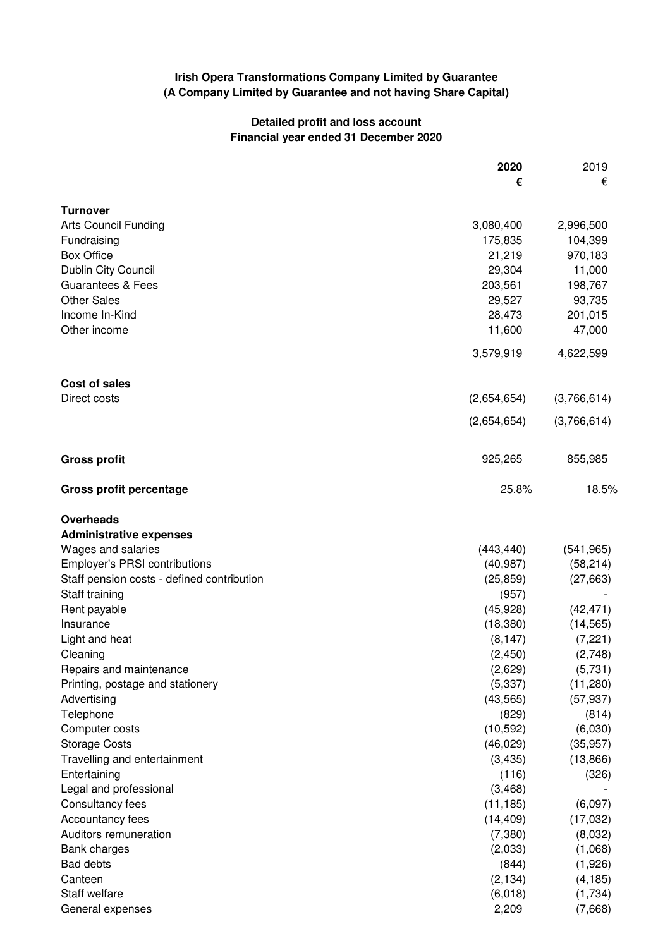# **Detailed profit and loss account Financial year ended 31 December 2020**

|                                            | 2020        | 2019        |
|--------------------------------------------|-------------|-------------|
|                                            | €           | €           |
| <b>Turnover</b>                            |             |             |
| <b>Arts Council Funding</b>                | 3,080,400   | 2,996,500   |
| Fundraising                                | 175,835     | 104,399     |
| <b>Box Office</b>                          | 21,219      | 970,183     |
| Dublin City Council                        | 29,304      | 11,000      |
| <b>Guarantees &amp; Fees</b>               | 203,561     | 198,767     |
| <b>Other Sales</b>                         | 29,527      | 93,735      |
| Income In-Kind                             | 28,473      | 201,015     |
| Other income                               | 11,600      | 47,000      |
|                                            | 3,579,919   | 4,622,599   |
| <b>Cost of sales</b>                       |             |             |
| Direct costs                               | (2,654,654) | (3,766,614) |
|                                            | (2,654,654) | (3,766,614) |
| <b>Gross profit</b>                        | 925,265     | 855,985     |
|                                            |             |             |
| <b>Gross profit percentage</b>             | 25.8%       | 18.5%       |
| Overheads                                  |             |             |
| <b>Administrative expenses</b>             |             |             |
| Wages and salaries                         | (443, 440)  | (541, 965)  |
| <b>Employer's PRSI contributions</b>       | (40, 987)   | (58, 214)   |
| Staff pension costs - defined contribution | (25, 859)   | (27, 663)   |
| Staff training                             | (957)       |             |
| Rent payable                               | (45, 928)   | (42, 471)   |
| Insurance                                  | (18, 380)   | (14, 565)   |
| Light and heat                             | (8, 147)    | (7, 221)    |
| Cleaning                                   | (2, 450)    | (2,748)     |
| Repairs and maintenance                    | (2,629)     | (5,731)     |
| Printing, postage and stationery           | (5, 337)    | (11,280)    |
| Advertising                                | (43, 565)   | (57, 937)   |
| Telephone                                  | (829)       | (814)       |
| Computer costs                             | (10, 592)   | (6,030)     |
| <b>Storage Costs</b>                       | (46, 029)   | (35, 957)   |
| Travelling and entertainment               | (3, 435)    | (13,866)    |
| Entertaining                               | (116)       | (326)       |
| Legal and professional                     | (3,468)     |             |
| Consultancy fees                           | (11, 185)   | (6,097)     |
| Accountancy fees                           | (14, 409)   | (17,032)    |
| Auditors remuneration                      | (7, 380)    | (8,032)     |
| Bank charges                               | (2,033)     | (1,068)     |
| Bad debts                                  | (844)       | (1,926)     |
| Canteen                                    | (2, 134)    | (4, 185)    |
| Staff welfare                              | (6,018)     | (1,734)     |
| General expenses                           | 2,209       | (7,668)     |